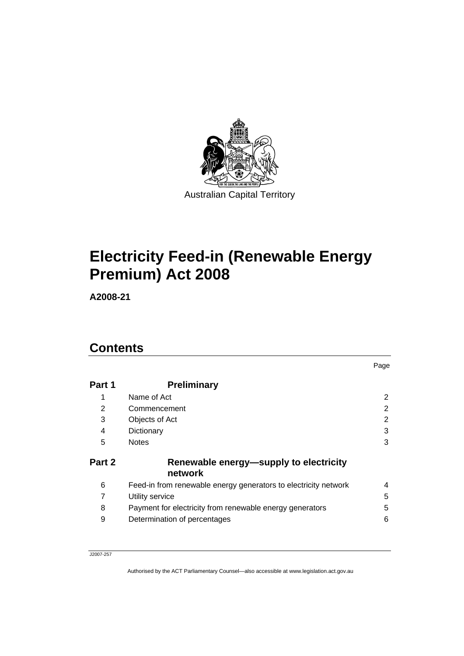

# **[Electricity Feed-in \(Renewable Energy](#page-2-0)  [Premium\) Act 2008](#page-2-0)**

**A2008-21** 

## **Contents**

| Part 1 | <b>Preliminary</b>                                              |                |
|--------|-----------------------------------------------------------------|----------------|
| 1      | Name of Act                                                     | $\overline{2}$ |
| 2      | Commencement                                                    | $\overline{2}$ |
| 3      | Objects of Act                                                  | 2              |
| 4      | Dictionary                                                      | 3              |
| 5      | <b>Notes</b>                                                    | 3              |
| Part 2 | Renewable energy-supply to electricity<br>network               |                |
| 6      | Feed-in from renewable energy generators to electricity network | 4              |
|        | Utility service                                                 | 5              |
| 8      | Payment for electricity from renewable energy generators        | 5              |
| 9      | Determination of percentages                                    | 6              |

Page

J2007-257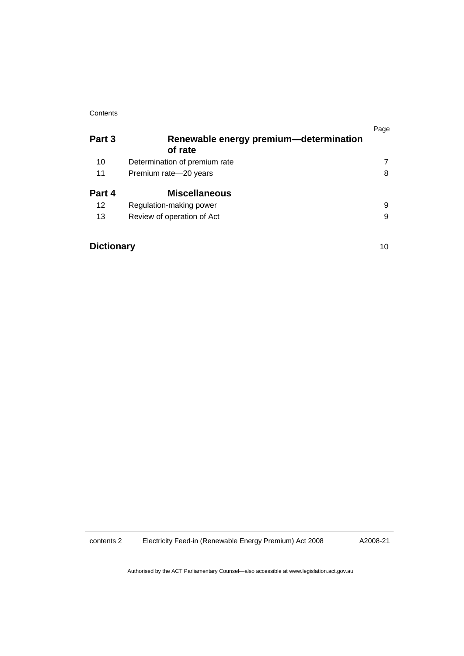#### **Contents**

| Part 3            | Renewable energy premium—determination<br>of rate | Page |
|-------------------|---------------------------------------------------|------|
| 10                | Determination of premium rate                     |      |
| 11                | Premium rate-20 years                             | 8    |
| Part 4            | <b>Miscellaneous</b>                              |      |
| 12                | Regulation-making power                           | 9    |
| 13                | Review of operation of Act                        | 9    |
| <b>Dictionary</b> |                                                   | 10   |

contents 2 Electricity Feed-in (Renewable Energy Premium) Act 2008

A2008-21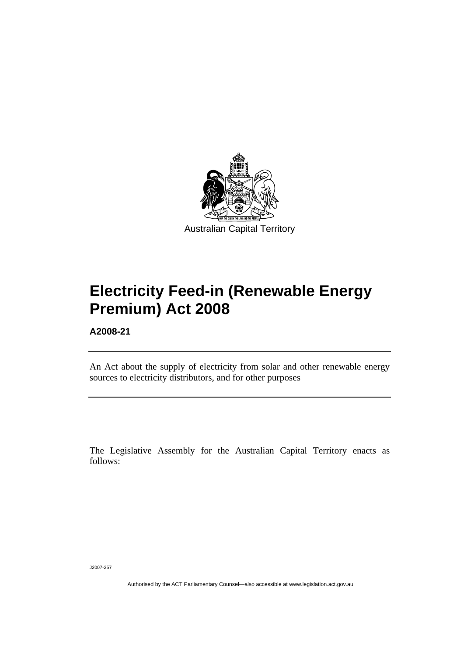<span id="page-2-0"></span>

# **Electricity Feed-in (Renewable Energy Premium) Act 2008**

**A2008-21** 

l

An Act about the supply of electricity from solar and other renewable energy sources to electricity distributors, and for other purposes

The Legislative Assembly for the Australian Capital Territory enacts as follows:

J2007-257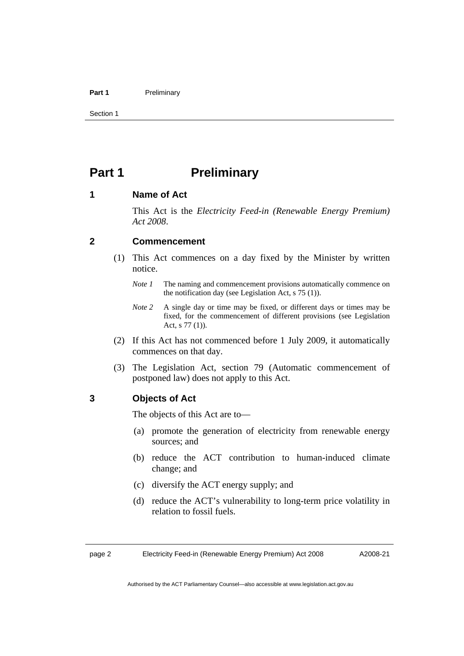#### <span id="page-3-0"></span>Part 1 **Preliminary**

Section 1

## **Part 1** Preliminary

#### **1 Name of Act**

This Act is the *Electricity Feed-in (Renewable Energy Premium) Act 2008*.

#### **2 Commencement**

- (1) This Act commences on a day fixed by the Minister by written notice.
	- *Note 1* The naming and commencement provisions automatically commence on the notification day (see Legislation Act, s 75 (1)).
	- *Note 2* A single day or time may be fixed, or different days or times may be fixed, for the commencement of different provisions (see Legislation Act, s 77 (1)).
- (2) If this Act has not commenced before 1 July 2009, it automatically commences on that day.
- (3) The Legislation Act, section 79 (Automatic commencement of postponed law) does not apply to this Act.

#### **3 Objects of Act**

The objects of this Act are to—

- (a) promote the generation of electricity from renewable energy sources; and
- (b) reduce the ACT contribution to human-induced climate change; and
- (c) diversify the ACT energy supply; and
- (d) reduce the ACT's vulnerability to long-term price volatility in relation to fossil fuels.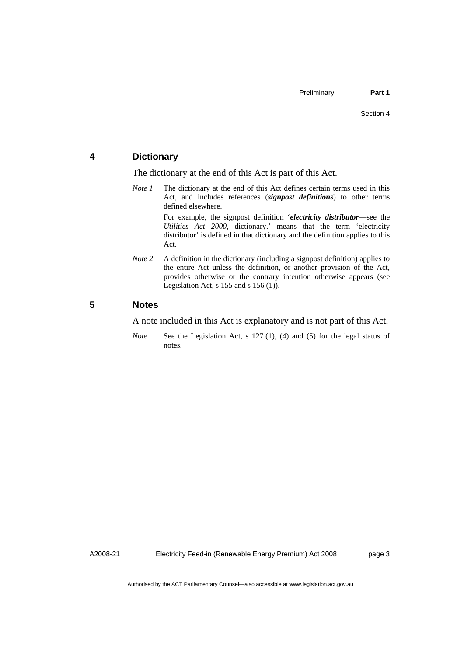#### <span id="page-4-0"></span>**4 Dictionary**

The dictionary at the end of this Act is part of this Act.

*Note 1* The dictionary at the end of this Act defines certain terms used in this Act, and includes references (*signpost definitions*) to other terms defined elsewhere.

For example, the signpost definition '*electricity distributor*—see the *Utilities Act 2000*, dictionary.' means that the term 'electricity distributor' is defined in that dictionary and the definition applies to this Act.

*Note 2* A definition in the dictionary (including a signpost definition) applies to the entire Act unless the definition, or another provision of the Act, provides otherwise or the contrary intention otherwise appears (see Legislation Act, s  $155$  and s  $156$  (1)).

#### **5 Notes**

A note included in this Act is explanatory and is not part of this Act.

*Note* See the Legislation Act, s 127 (1), (4) and (5) for the legal status of notes.

A2008-21

page 3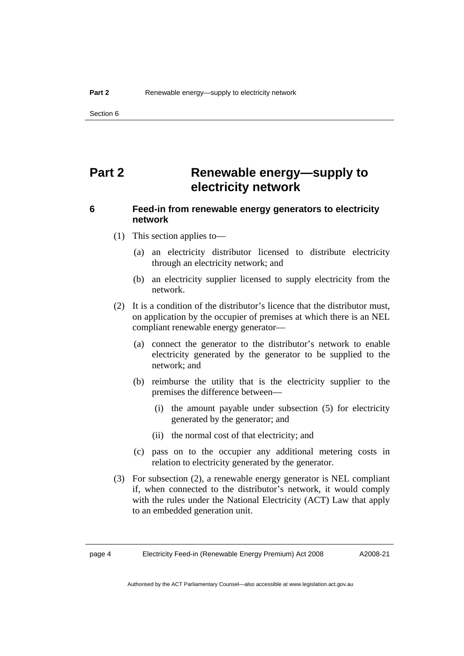<span id="page-5-0"></span>Section 6

## **Part 2 Renewable energy—supply to electricity network**

### **6 Feed-in from renewable energy generators to electricity network**

- (1) This section applies to—
	- (a) an electricity distributor licensed to distribute electricity through an electricity network; and
	- (b) an electricity supplier licensed to supply electricity from the network.
- (2) It is a condition of the distributor's licence that the distributor must, on application by the occupier of premises at which there is an NEL compliant renewable energy generator—
	- (a) connect the generator to the distributor's network to enable electricity generated by the generator to be supplied to the network; and
	- (b) reimburse the utility that is the electricity supplier to the premises the difference between—
		- (i) the amount payable under subsection (5) for electricity generated by the generator; and
		- (ii) the normal cost of that electricity; and
	- (c) pass on to the occupier any additional metering costs in relation to electricity generated by the generator.
- (3) For subsection (2), a renewable energy generator is NEL compliant if, when connected to the distributor's network, it would comply with the rules under the National Electricity (ACT) Law that apply to an embedded generation unit.

page 4 Electricity Feed-in (Renewable Energy Premium) Act 2008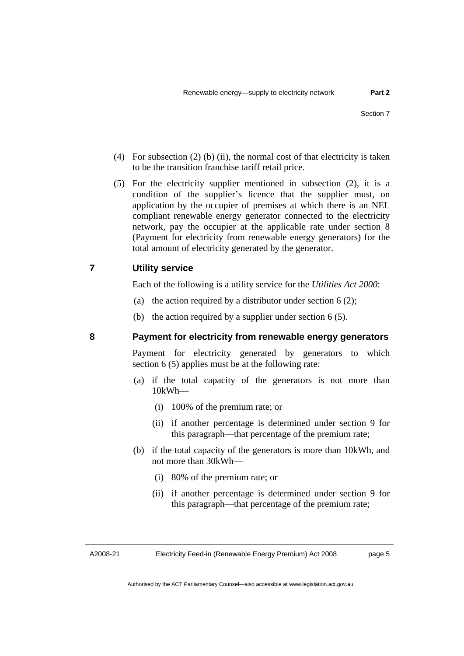- <span id="page-6-0"></span> (4) For subsection (2) (b) (ii), the normal cost of that electricity is taken to be the transition franchise tariff retail price.
- (5) For the electricity supplier mentioned in subsection (2), it is a condition of the supplier's licence that the supplier must, on application by the occupier of premises at which there is an NEL compliant renewable energy generator connected to the electricity network, pay the occupier at the applicable rate under section 8 (Payment for electricity from renewable energy generators) for the total amount of electricity generated by the generator.

#### **7 Utility service**

Each of the following is a utility service for the *Utilities Act 2000*:

- (a) the action required by a distributor under section  $6(2)$ ;
- (b) the action required by a supplier under section 6 (5).

#### **8 Payment for electricity from renewable energy generators**

Payment for electricity generated by generators to which section 6 (5) applies must be at the following rate:

- (a) if the total capacity of the generators is not more than 10kWh—
	- (i) 100% of the premium rate; or
	- (ii) if another percentage is determined under section 9 for this paragraph—that percentage of the premium rate;
- (b) if the total capacity of the generators is more than 10kWh, and not more than 30kWh—
	- (i) 80% of the premium rate; or
	- (ii) if another percentage is determined under section 9 for this paragraph—that percentage of the premium rate;

A2008-21

page 5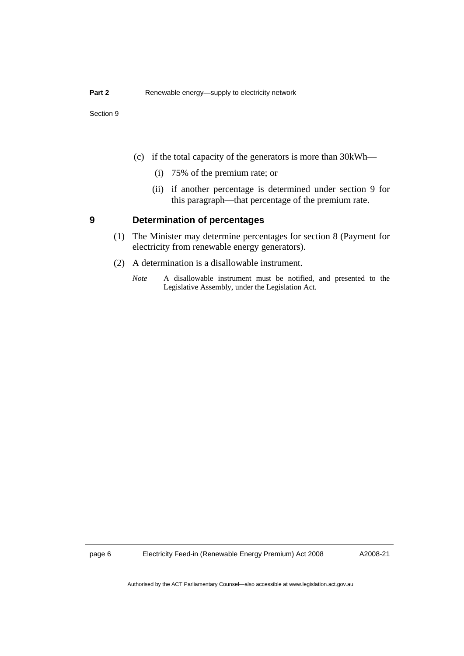<span id="page-7-0"></span>Section 9

- (c) if the total capacity of the generators is more than 30kWh—
	- (i) 75% of the premium rate; or
	- (ii) if another percentage is determined under section 9 for this paragraph—that percentage of the premium rate.

#### **9 Determination of percentages**

- (1) The Minister may determine percentages for section 8 (Payment for electricity from renewable energy generators).
- (2) A determination is a disallowable instrument.
	- *Note* A disallowable instrument must be notified, and presented to the Legislative Assembly, under the Legislation Act.

page 6 Electricity Feed-in (Renewable Energy Premium) Act 2008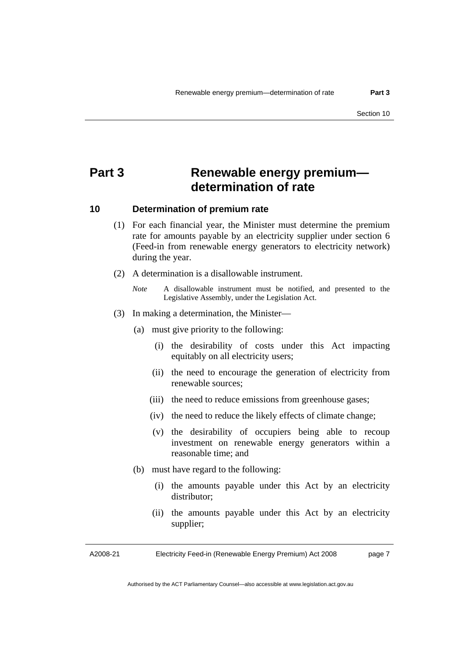## <span id="page-8-0"></span>**Part 3 Renewable energy premium determination of rate**

#### **10 Determination of premium rate**

- (1) For each financial year, the Minister must determine the premium rate for amounts payable by an electricity supplier under section 6 (Feed-in from renewable energy generators to electricity network) during the year.
- (2) A determination is a disallowable instrument.
	- *Note* A disallowable instrument must be notified, and presented to the Legislative Assembly, under the Legislation Act.
- (3) In making a determination, the Minister—
	- (a) must give priority to the following:
		- (i) the desirability of costs under this Act impacting equitably on all electricity users;
		- (ii) the need to encourage the generation of electricity from renewable sources;
		- (iii) the need to reduce emissions from greenhouse gases;
		- (iv) the need to reduce the likely effects of climate change;
		- (v) the desirability of occupiers being able to recoup investment on renewable energy generators within a reasonable time; and
	- (b) must have regard to the following:
		- (i) the amounts payable under this Act by an electricity distributor;
		- (ii) the amounts payable under this Act by an electricity supplier;

A2008-21 Electricity Feed-in (Renewable Energy Premium) Act 2008 page 7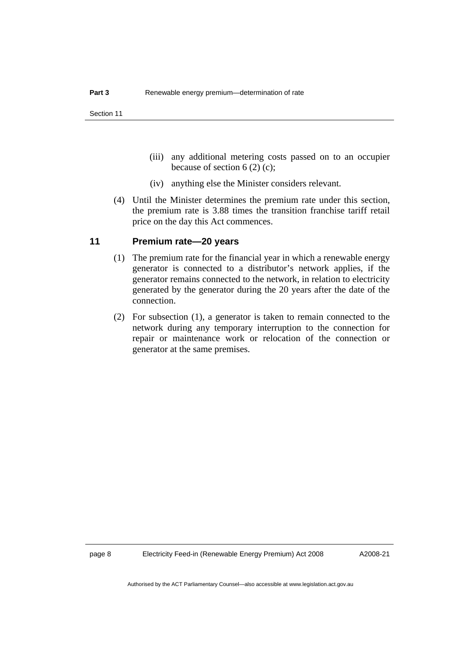- <span id="page-9-0"></span> (iii) any additional metering costs passed on to an occupier because of section  $6(2)(c)$ ;
- (iv) anything else the Minister considers relevant.
- (4) Until the Minister determines the premium rate under this section, the premium rate is 3.88 times the transition franchise tariff retail price on the day this Act commences.

#### **11 Premium rate—20 years**

- (1) The premium rate for the financial year in which a renewable energy generator is connected to a distributor's network applies, if the generator remains connected to the network, in relation to electricity generated by the generator during the 20 years after the date of the connection.
- (2) For subsection (1), a generator is taken to remain connected to the network during any temporary interruption to the connection for repair or maintenance work or relocation of the connection or generator at the same premises.

page 8 Electricity Feed-in (Renewable Energy Premium) Act 2008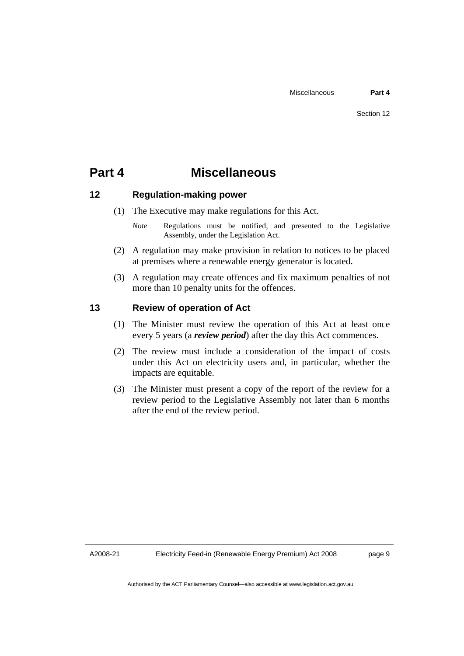## <span id="page-10-0"></span>**Part 4 Miscellaneous**

#### **12 Regulation-making power**

- (1) The Executive may make regulations for this Act.
	- *Note* **Regulations** must be notified, and presented to the Legislative Assembly, under the Legislation Act.
- (2) A regulation may make provision in relation to notices to be placed at premises where a renewable energy generator is located.
- (3) A regulation may create offences and fix maximum penalties of not more than 10 penalty units for the offences.

#### **13 Review of operation of Act**

- (1) The Minister must review the operation of this Act at least once every 5 years (a *review period*) after the day this Act commences.
- (2) The review must include a consideration of the impact of costs under this Act on electricity users and, in particular, whether the impacts are equitable.
- (3) The Minister must present a copy of the report of the review for a review period to the Legislative Assembly not later than 6 months after the end of the review period.

A2008-21

page 9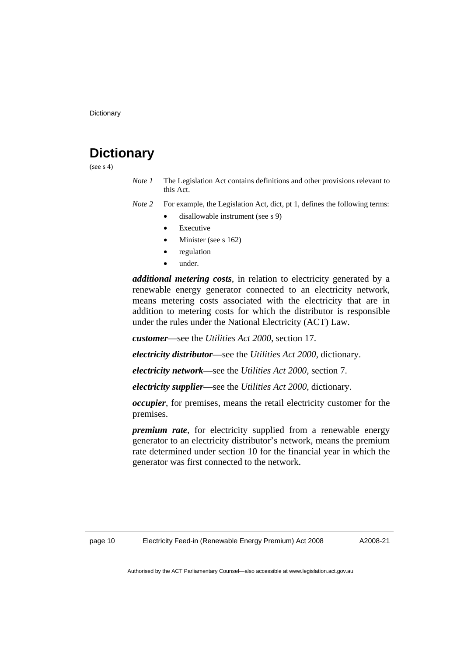## <span id="page-11-0"></span>**Dictionary**

(see  $s$  4)

*Note 1* The Legislation Act contains definitions and other provisions relevant to this Act.

*Note 2* For example, the Legislation Act, dict, pt 1, defines the following terms:

- disallowable instrument (see s 9)
- **Executive**
- Minister (see s 162)
- regulation
- under.

*additional metering costs*, in relation to electricity generated by a renewable energy generator connected to an electricity network, means metering costs associated with the electricity that are in addition to metering costs for which the distributor is responsible under the rules under the National Electricity (ACT) Law.

*customer*—see the *Utilities Act 2000*, section 17.

*electricity distributor*—see the *Utilities Act 2000*, dictionary.

*electricity network*—see the *Utilities Act 2000*, section 7.

*electricity supplier***—**see the *Utilities Act 2000*, dictionary.

*occupier*, for premises, means the retail electricity customer for the premises.

*premium rate*, for electricity supplied from a renewable energy generator to an electricity distributor's network, means the premium rate determined under section 10 for the financial year in which the generator was first connected to the network.

A2008-21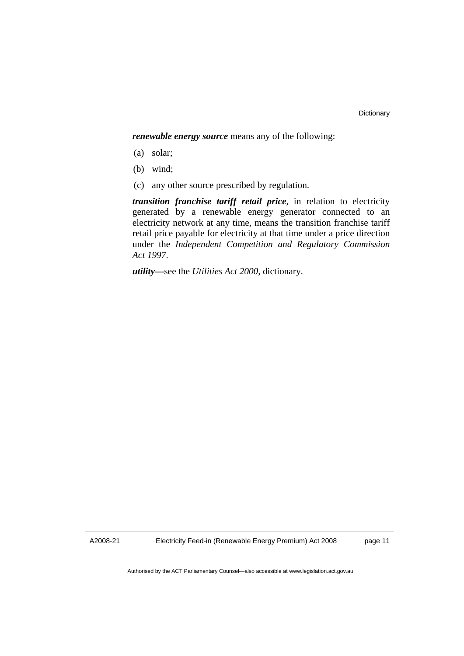*renewable energy source* means any of the following:

- (a) solar;
- (b) wind;
- (c) any other source prescribed by regulation.

*transition franchise tariff retail price*, in relation to electricity generated by a renewable energy generator connected to an electricity network at any time, means the transition franchise tariff retail price payable for electricity at that time under a price direction under the *Independent Competition and Regulatory Commission Act 1997*.

*utility***—**see the *Utilities Act 2000*, dictionary.

A2008-21

Electricity Feed-in (Renewable Energy Premium) Act 2008

page 11